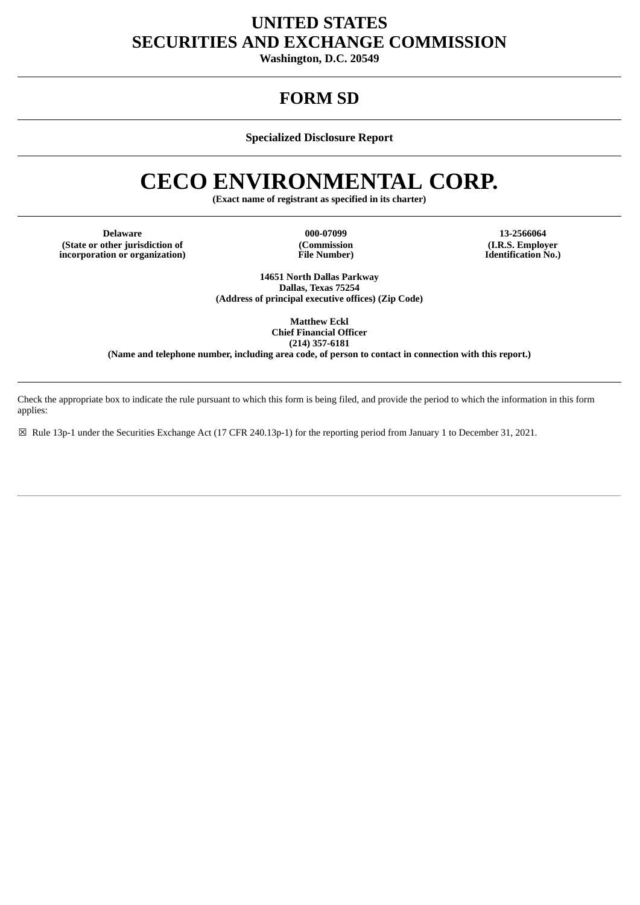# **UNITED STATES SECURITIES AND EXCHANGE COMMISSION**

**Washington, D.C. 20549**

# **FORM SD**

**Specialized Disclosure Report**

# **CECO ENVIRONMENTAL CORP.**

**(Exact name of registrant as specified in its charter)**

**Delaware 000-07099 13-2566064 (State or other jurisdiction of incorporation or organization)**

**(Commission File Number)**

**(I.R.S. Employer Identification No.)**

**14651 North Dallas Parkway Dallas, Texas 75254 (Address of principal executive offices) (Zip Code)**

> **Matthew Eckl Chief Financial Officer (214) 357-6181**

**(Name and telephone number, including area code, of person to contact in connection with this report.)**

Check the appropriate box to indicate the rule pursuant to which this form is being filed, and provide the period to which the information in this form applies:

☒ Rule 13p-1 under the Securities Exchange Act (17 CFR 240.13p-1) for the reporting period from January 1 to December 31, 2021.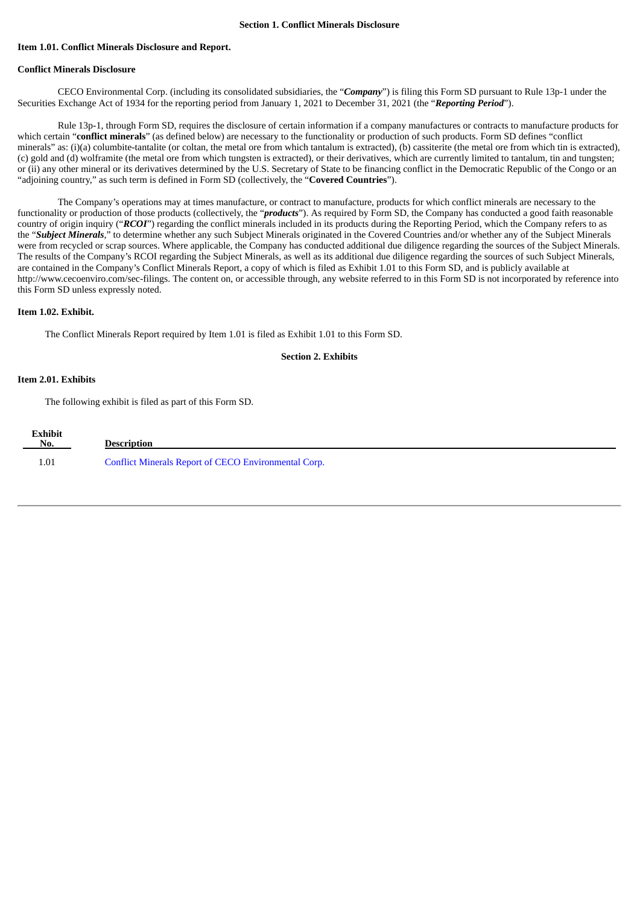#### **Item 1.01. Conflict Minerals Disclosure and Report.**

# **Conflict Minerals Disclosure**

CECO Environmental Corp. (including its consolidated subsidiaries, the "*Company*") is filing this Form SD pursuant to Rule 13p-1 under the Securities Exchange Act of 1934 for the reporting period from January 1, 2021 to December 31, 2021 (the "*Reporting Period*").

Rule 13p-1, through Form SD, requires the disclosure of certain information if a company manufactures or contracts to manufacture products for which certain "**conflict minerals**" (as defined below) are necessary to the functionality or production of such products. Form SD defines "conflict minerals" as: (i)(a) columbite-tantalite (or coltan, the metal ore from which tantalum is extracted), (b) cassiterite (the metal ore from which tin is extracted), (c) gold and (d) wolframite (the metal ore from which tungsten is extracted), or their derivatives, which are currently limited to tantalum, tin and tungsten; or (ii) any other mineral or its derivatives determined by the U.S. Secretary of State to be financing conflict in the Democratic Republic of the Congo or an "adjoining country," as such term is defined in Form SD (collectively, the "**Covered Countries**").

The Company's operations may at times manufacture, or contract to manufacture, products for which conflict minerals are necessary to the functionality or production of those products (collectively, the "*products*"). As required by Form SD, the Company has conducted a good faith reasonable country of origin inquiry ("*RCOI*") regarding the conflict minerals included in its products during the Reporting Period, which the Company refers to as the "*Subject Minerals*," to determine whether any such Subject Minerals originated in the Covered Countries and/or whether any of the Subject Minerals were from recycled or scrap sources. Where applicable, the Company has conducted additional due diligence regarding the sources of the Subject Minerals. The results of the Company's RCOI regarding the Subject Minerals, as well as its additional due diligence regarding the sources of such Subject Minerals, are contained in the Company's Conflict Minerals Report, a copy of which is filed as Exhibit 1.01 to this Form SD, and is publicly available at http://www.cecoenviro.com/sec-filings. The content on, or accessible through, any website referred to in this Form SD is not incorporated by reference into this Form SD unless expressly noted.

## **Item 1.02. Exhibit.**

The Conflict Minerals Report required by Item 1.01 is filed as Exhibit 1.01 to this Form SD.

# **Section 2. Exhibits**

#### **Item 2.01. Exhibits**

The following exhibit is filed as part of this Form SD.

| <b>Exhibit</b><br>$N_0$ . | Description                                          |
|---------------------------|------------------------------------------------------|
| $1.01\,$                  | Conflict Minerals Report of CECO Environmental Corp. |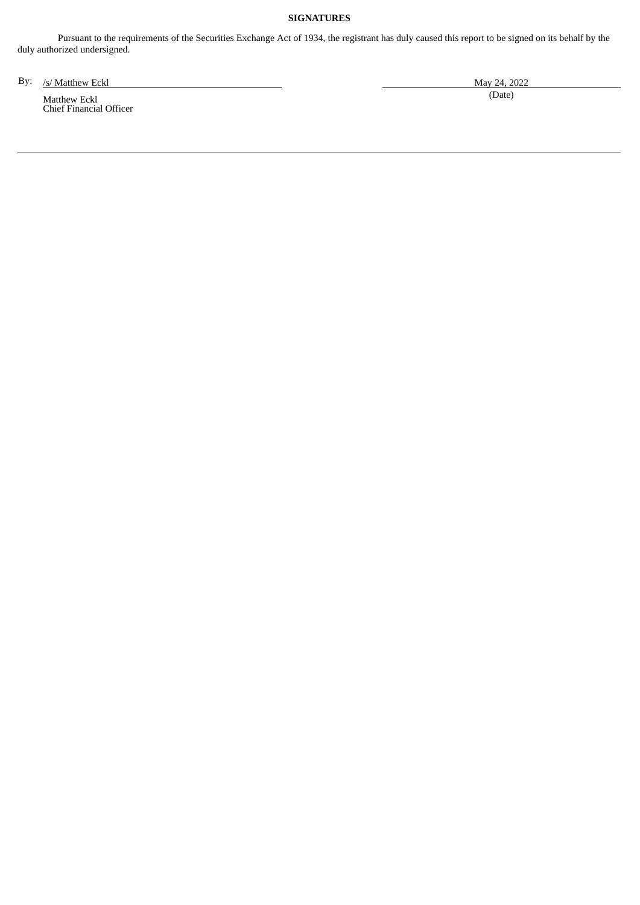# **SIGNATURES**

Pursuant to the requirements of the Securities Exchange Act of 1934, the registrant has duly caused this report to be signed on its behalf by the duly authorized undersigned.

By: /s/ Matthew Eckl May 24, 2022

Matthew Eckl Chief Financial Officer (Date)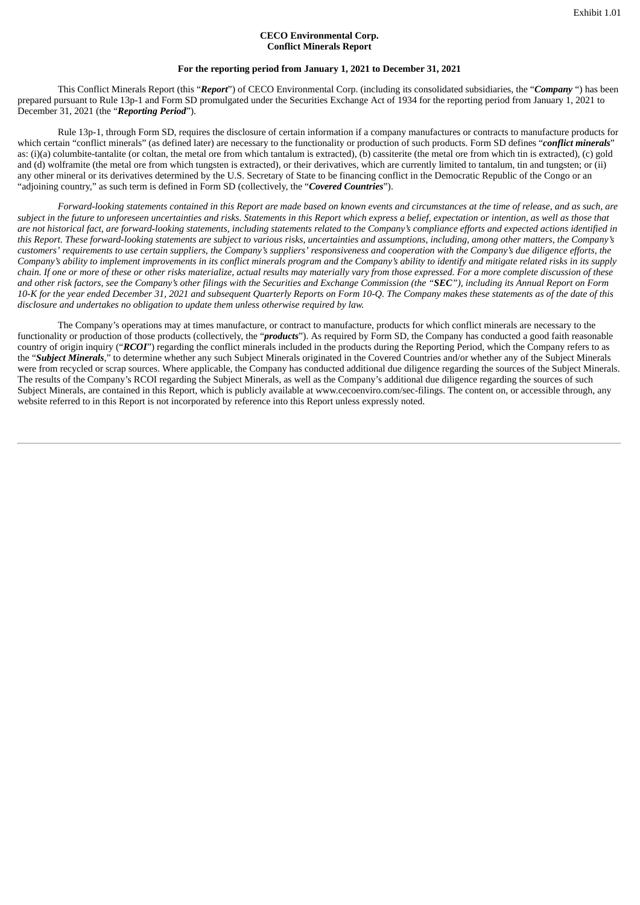## **CECO Environmental Corp. Conflict Minerals Report**

## **For the reporting period from January 1, 2021 to December 31, 2021**

This Conflict Minerals Report (this "*Report*") of CECO Environmental Corp. (including its consolidated subsidiaries, the "*Company* ") has been prepared pursuant to Rule 13p-1 and Form SD promulgated under the Securities Exchange Act of 1934 for the reporting period from January 1, 2021 to December 31, 2021 (the "*Reporting Period*").

Rule 13p-1, through Form SD, requires the disclosure of certain information if a company manufactures or contracts to manufacture products for which certain "conflict minerals" (as defined later) are necessary to the functionality or production of such products. Form SD defines "*conflict minerals*" as: (i)(a) columbite-tantalite (or coltan, the metal ore from which tantalum is extracted), (b) cassiterite (the metal ore from which tin is extracted), (c) gold and (d) wolframite (the metal ore from which tungsten is extracted), or their derivatives, which are currently limited to tantalum, tin and tungsten; or (ii) any other mineral or its derivatives determined by the U.S. Secretary of State to be financing conflict in the Democratic Republic of the Congo or an "adjoining country," as such term is defined in Form SD (collectively, the "*Covered Countries*").

Forward-looking statements contained in this Report are made based on known events and circumstances at the time of release, and as such, are subject in the future to unforeseen uncertainties and risks. Statements in this Report which express a belief, expectation or intention, as well as those that are not historical fact, are forward-looking statements, including statements related to the Company's compliance efforts and expected actions identified in this Report. These forward-looking statements are subject to various risks, uncertainties and assumptions, including, among other matters, the Company's customers' requirements to use certain suppliers, the Company's suppliers' responsiveness and cooperation with the Company's due diligence efforts, the Company's ability to implement improvements in its conflict minerals program and the Company's ability to identify and mitigate related risks in its supply chain. If one or more of these or other risks materialize, actual results may materially vary from those expressed. For a more complete discussion of these and other risk factors, see the Company's other filings with the Securities and Exchange Commission (the "SEC"), including its Annual Report on Form 10-K for the year ended December 31, 2021 and subsequent Quarterly Reports on Form 10-Q. The Company makes these statements as of the date of this *disclosure and undertakes no obligation to update them unless otherwise required by law.*

The Company's operations may at times manufacture, or contract to manufacture, products for which conflict minerals are necessary to the functionality or production of those products (collectively, the "*products*"). As required by Form SD, the Company has conducted a good faith reasonable country of origin inquiry ("*RCOI*") regarding the conflict minerals included in the products during the Reporting Period, which the Company refers to as the "*Subject Minerals*," to determine whether any such Subject Minerals originated in the Covered Countries and/or whether any of the Subject Minerals were from recycled or scrap sources. Where applicable, the Company has conducted additional due diligence regarding the sources of the Subject Minerals. The results of the Company's RCOI regarding the Subject Minerals, as well as the Company's additional due diligence regarding the sources of such Subject Minerals, are contained in this Report, which is publicly available at www.cecoenviro.com/sec-filings. The content on, or accessible through, any website referred to in this Report is not incorporated by reference into this Report unless expressly noted.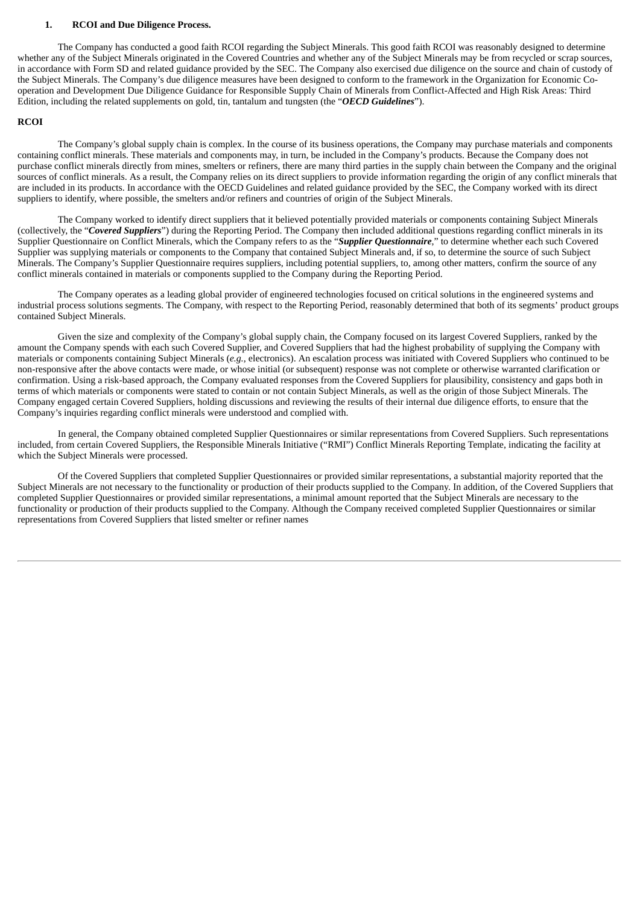#### **1. RCOI and Due Diligence Process.**

The Company has conducted a good faith RCOI regarding the Subject Minerals. This good faith RCOI was reasonably designed to determine whether any of the Subject Minerals originated in the Covered Countries and whether any of the Subject Minerals may be from recycled or scrap sources, in accordance with Form SD and related guidance provided by the SEC. The Company also exercised due diligence on the source and chain of custody of the Subject Minerals. The Company's due diligence measures have been designed to conform to the framework in the Organization for Economic Cooperation and Development Due Diligence Guidance for Responsible Supply Chain of Minerals from Conflict-Affected and High Risk Areas: Third Edition, including the related supplements on gold, tin, tantalum and tungsten (the "*OECD Guidelines*").

#### **RCOI**

The Company's global supply chain is complex. In the course of its business operations, the Company may purchase materials and components containing conflict minerals. These materials and components may, in turn, be included in the Company's products. Because the Company does not purchase conflict minerals directly from mines, smelters or refiners, there are many third parties in the supply chain between the Company and the original sources of conflict minerals. As a result, the Company relies on its direct suppliers to provide information regarding the origin of any conflict minerals that are included in its products. In accordance with the OECD Guidelines and related guidance provided by the SEC, the Company worked with its direct suppliers to identify, where possible, the smelters and/or refiners and countries of origin of the Subject Minerals.

The Company worked to identify direct suppliers that it believed potentially provided materials or components containing Subject Minerals (collectively, the "*Covered Suppliers*") during the Reporting Period. The Company then included additional questions regarding conflict minerals in its Supplier Questionnaire on Conflict Minerals, which the Company refers to as the "*Supplier Questionnaire*," to determine whether each such Covered Supplier was supplying materials or components to the Company that contained Subject Minerals and, if so, to determine the source of such Subject Minerals. The Company's Supplier Questionnaire requires suppliers, including potential suppliers, to, among other matters, confirm the source of any conflict minerals contained in materials or components supplied to the Company during the Reporting Period.

The Company operates as a leading global provider of engineered technologies focused on critical solutions in the engineered systems and industrial process solutions segments. The Company, with respect to the Reporting Period, reasonably determined that both of its segments' product groups contained Subject Minerals.

Given the size and complexity of the Company's global supply chain, the Company focused on its largest Covered Suppliers, ranked by the amount the Company spends with each such Covered Supplier, and Covered Suppliers that had the highest probability of supplying the Company with materials or components containing Subject Minerals (*e.g.*, electronics). An escalation process was initiated with Covered Suppliers who continued to be non-responsive after the above contacts were made, or whose initial (or subsequent) response was not complete or otherwise warranted clarification or confirmation. Using a risk-based approach, the Company evaluated responses from the Covered Suppliers for plausibility, consistency and gaps both in terms of which materials or components were stated to contain or not contain Subject Minerals, as well as the origin of those Subject Minerals. The Company engaged certain Covered Suppliers, holding discussions and reviewing the results of their internal due diligence efforts, to ensure that the Company's inquiries regarding conflict minerals were understood and complied with.

In general, the Company obtained completed Supplier Questionnaires or similar representations from Covered Suppliers. Such representations included, from certain Covered Suppliers, the Responsible Minerals Initiative ("RMI") Conflict Minerals Reporting Template, indicating the facility at which the Subject Minerals were processed.

Of the Covered Suppliers that completed Supplier Questionnaires or provided similar representations, a substantial majority reported that the Subject Minerals are not necessary to the functionality or production of their products supplied to the Company. In addition, of the Covered Suppliers that completed Supplier Questionnaires or provided similar representations, a minimal amount reported that the Subject Minerals are necessary to the functionality or production of their products supplied to the Company. Although the Company received completed Supplier Questionnaires or similar representations from Covered Suppliers that listed smelter or refiner names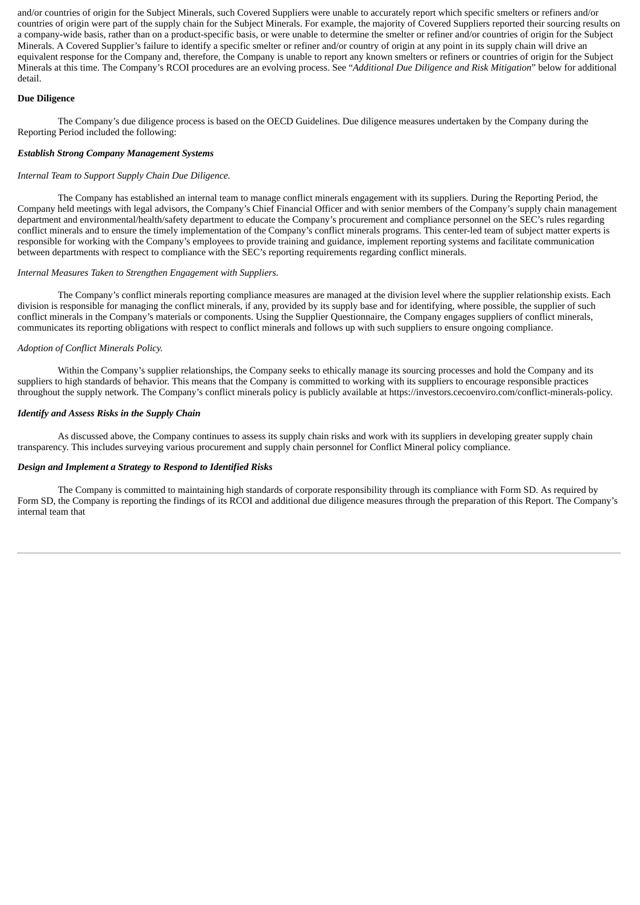and/or countries of origin for the Subject Minerals, such Covered Suppliers were unable to accurately report which specific smelters or refiners and/or countries of origin were part of the supply chain for the Subject Minerals. For example, the majority of Covered Suppliers reported their sourcing results on a company-wide basis, rather than on a product-specific basis, or were unable to determine the smelter or refiner and/or countries of origin for the Subject Minerals. A Covered Supplier's failure to identify a specific smelter or refiner and/or country of origin at any point in its supply chain will drive an equivalent response for the Company and, therefore, the Company is unable to report any known smelters or refiners or countries of origin for the Subject Minerals at this time. The Company's RCOI procedures are an evolving process. See "*Additional Due Diligence and Risk Mitigation*" below for additional detail.

# **Due Diligence**

The Company's due diligence process is based on the OECD Guidelines. Due diligence measures undertaken by the Company during the Reporting Period included the following:

# *Establish Strong Company Management Systems*

## *Internal Team to Support Supply Chain Due Diligence.*

The Company has established an internal team to manage conflict minerals engagement with its suppliers. During the Reporting Period, the Company held meetings with legal advisors, the Company's Chief Financial Officer and with senior members of the Company's supply chain management department and environmental/health/safety department to educate the Company's procurement and compliance personnel on the SEC's rules regarding conflict minerals and to ensure the timely implementation of the Company's conflict minerals programs. This center-led team of subject matter experts is responsible for working with the Company's employees to provide training and guidance, implement reporting systems and facilitate communication between departments with respect to compliance with the SEC's reporting requirements regarding conflict minerals.

## *Internal Measures Taken to Strengthen Engagement with Suppliers.*

The Company's conflict minerals reporting compliance measures are managed at the division level where the supplier relationship exists. Each division is responsible for managing the conflict minerals, if any, provided by its supply base and for identifying, where possible, the supplier of such conflict minerals in the Company's materials or components. Using the Supplier Questionnaire, the Company engages suppliers of conflict minerals, communicates its reporting obligations with respect to conflict minerals and follows up with such suppliers to ensure ongoing compliance.

#### *Adoption of Conflict Minerals Policy.*

Within the Company's supplier relationships, the Company seeks to ethically manage its sourcing processes and hold the Company and its suppliers to high standards of behavior. This means that the Company is committed to working with its suppliers to encourage responsible practices throughout the supply network. The Company's conflict minerals policy is publicly available at https://investors.cecoenviro.com/conflict-minerals-policy.

#### *Identify and Assess Risks in the Supply Chain*

As discussed above, the Company continues to assess its supply chain risks and work with its suppliers in developing greater supply chain transparency. This includes surveying various procurement and supply chain personnel for Conflict Mineral policy compliance.

#### *Design and Implement a Strategy to Respond to Identified Risks*

The Company is committed to maintaining high standards of corporate responsibility through its compliance with Form SD. As required by Form SD, the Company is reporting the findings of its RCOI and additional due diligence measures through the preparation of this Report. The Company's internal team that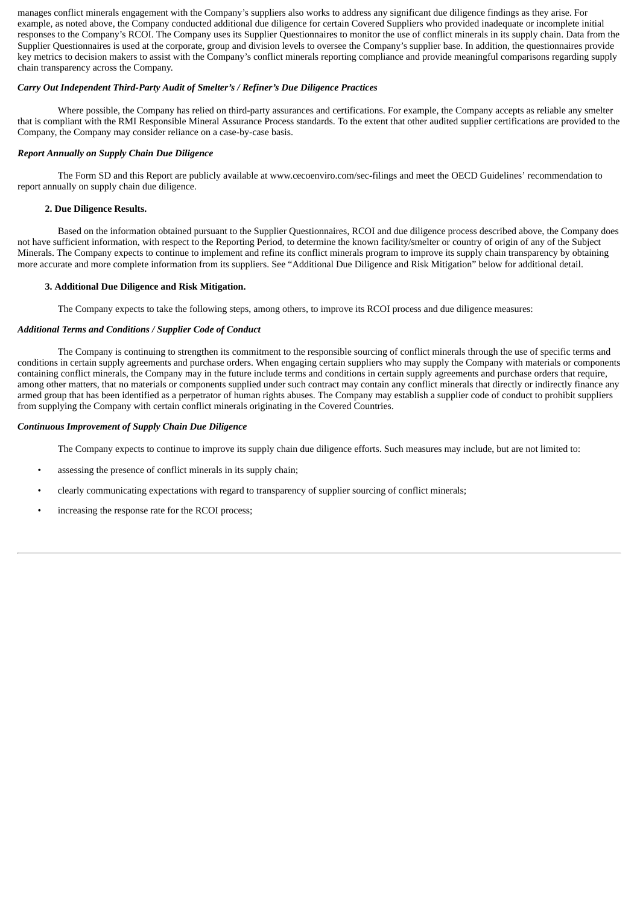manages conflict minerals engagement with the Company's suppliers also works to address any significant due diligence findings as they arise. For example, as noted above, the Company conducted additional due diligence for certain Covered Suppliers who provided inadequate or incomplete initial responses to the Company's RCOI. The Company uses its Supplier Questionnaires to monitor the use of conflict minerals in its supply chain. Data from the Supplier Questionnaires is used at the corporate, group and division levels to oversee the Company's supplier base. In addition, the questionnaires provide key metrics to decision makers to assist with the Company's conflict minerals reporting compliance and provide meaningful comparisons regarding supply chain transparency across the Company.

#### *Carry Out Independent Third-Party Audit of Smelter's / Refiner's Due Diligence Practices*

Where possible, the Company has relied on third-party assurances and certifications. For example, the Company accepts as reliable any smelter that is compliant with the RMI Responsible Mineral Assurance Process standards. To the extent that other audited supplier certifications are provided to the Company, the Company may consider reliance on a case-by-case basis.

#### *Report Annually on Supply Chain Due Diligence*

The Form SD and this Report are publicly available at www.cecoenviro.com/sec-filings and meet the OECD Guidelines' recommendation to report annually on supply chain due diligence.

#### **2. Due Diligence Results.**

Based on the information obtained pursuant to the Supplier Questionnaires, RCOI and due diligence process described above, the Company does not have sufficient information, with respect to the Reporting Period, to determine the known facility/smelter or country of origin of any of the Subject Minerals. The Company expects to continue to implement and refine its conflict minerals program to improve its supply chain transparency by obtaining more accurate and more complete information from its suppliers. See "Additional Due Diligence and Risk Mitigation" below for additional detail.

#### **3. Additional Due Diligence and Risk Mitigation.**

The Company expects to take the following steps, among others, to improve its RCOI process and due diligence measures:

#### *Additional Terms and Conditions / Supplier Code of Conduct*

The Company is continuing to strengthen its commitment to the responsible sourcing of conflict minerals through the use of specific terms and conditions in certain supply agreements and purchase orders. When engaging certain suppliers who may supply the Company with materials or components containing conflict minerals, the Company may in the future include terms and conditions in certain supply agreements and purchase orders that require, among other matters, that no materials or components supplied under such contract may contain any conflict minerals that directly or indirectly finance any armed group that has been identified as a perpetrator of human rights abuses. The Company may establish a supplier code of conduct to prohibit suppliers from supplying the Company with certain conflict minerals originating in the Covered Countries.

#### *Continuous Improvement of Supply Chain Due Diligence*

The Company expects to continue to improve its supply chain due diligence efforts. Such measures may include, but are not limited to:

- assessing the presence of conflict minerals in its supply chain;
- clearly communicating expectations with regard to transparency of supplier sourcing of conflict minerals;
- increasing the response rate for the RCOI process;